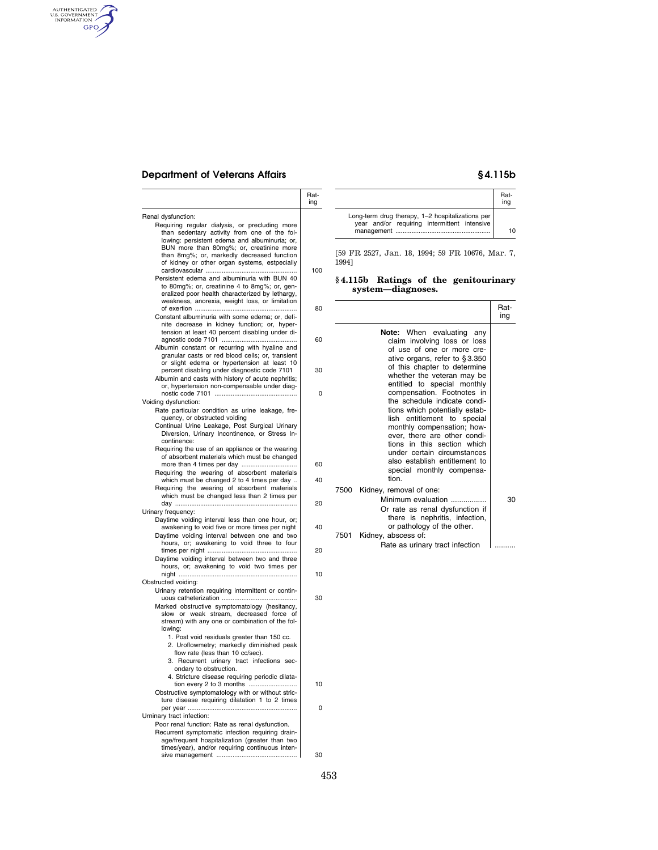## **Department of Veterans Affairs § 4.115b**

AUTHENTICATED

|                                                                                                                                                                                                                                                                                            | Rat-<br>ıng |
|--------------------------------------------------------------------------------------------------------------------------------------------------------------------------------------------------------------------------------------------------------------------------------------------|-------------|
| Renal dysfunction:                                                                                                                                                                                                                                                                         |             |
| Requiring regular dialysis, or precluding more<br>than sedentary activity from one of the fol-<br>lowing: persistent edema and albuminuria; or,<br>BUN more than 80mg%; or, creatinine more<br>than 8mg%; or, markedly decreased function<br>of kidney or other organ systems, estpecially |             |
| Persistent edema and albuminuria with BUN 40<br>to 80mg%; or, creatinine 4 to 8mg%; or, gen-<br>eralized poor health characterized by lethargy,<br>weakness, anorexia, weight loss, or limitation                                                                                          | 100         |
| Constant albuminuria with some edema; or, defi-<br>nite decrease in kidney function; or, hyper-<br>tension at least 40 percent disabling under di-                                                                                                                                         | 80          |
| Albumin constant or recurring with hyaline and<br>granular casts or red blood cells; or, transient<br>or slight edema or hypertension at least 10                                                                                                                                          | 60          |
| percent disabling under diagnostic code 7101<br>Albumin and casts with history of acute nephritis;<br>or, hypertension non-compensable under diag-                                                                                                                                         | 30          |
|                                                                                                                                                                                                                                                                                            | 0           |
| Voiding dysfunction:<br>Rate particular condition as urine leakage, fre-<br>quency, or obstructed voiding<br>Continual Urine Leakage, Post Surgical Urinary<br>Diversion, Urinary Incontinence, or Stress In-<br>continence:                                                               |             |
| Requiring the use of an appliance or the wearing<br>of absorbent materials which must be changed                                                                                                                                                                                           | 60          |
| Requiring the wearing of absorbent materials<br>which must be changed 2 to 4 times per day<br>Requiring the wearing of absorbent materials                                                                                                                                                 | 40          |
| which must be changed less than 2 times per                                                                                                                                                                                                                                                | 20          |
| Urinary frequency:                                                                                                                                                                                                                                                                         |             |
| Daytime voiding interval less than one hour, or;<br>awakening to void five or more times per night<br>Daytime voiding interval between one and two<br>hours, or; awakening to void three to four                                                                                           | 40          |
| Daytime voiding interval between two and three                                                                                                                                                                                                                                             | 20          |
| hours, or; awakening to void two times per                                                                                                                                                                                                                                                 | 10          |
| Obstructed voiding:<br>Urinary retention requiring intermittent or contin-                                                                                                                                                                                                                 |             |
| Marked obstructive symptomatology (hesitancy,<br>slow or weak stream, decreased force of<br>stream) with any one or combination of the fol-<br>lowing:                                                                                                                                     | 30          |
| 1. Post void residuals greater than 150 cc.<br>2. Uroflowmetry; markedly diminished peak<br>flow rate (less than 10 cc/sec).<br>3. Recurrent urinary tract infections sec-                                                                                                                 |             |
| ondary to obstruction.                                                                                                                                                                                                                                                                     |             |
| 4. Stricture disease requiring periodic dilata-<br>tion every 2 to 3 months<br>Obstructive symptomatology with or without stric-                                                                                                                                                           | 10          |
| ture disease requiring dilatation 1 to 2 times                                                                                                                                                                                                                                             | 0           |
| Urninary tract infection:<br>Poor renal function: Rate as renal dysfunction.<br>Recurrent symptomatic infection requiring drain-                                                                                                                                                           |             |
| age/frequent hospitalization (greater than two<br>times/year), and/or requiring continuous inten-                                                                                                                                                                                          | 30          |

|                                                                                                  | Rat-<br>ina |
|--------------------------------------------------------------------------------------------------|-------------|
| Long-term drug therapy, 1-2 hospitalizations per<br>year and/or requiring intermittent intensive | 10          |

[59 FR 2527, Jan. 18, 1994; 59 FR 10676, Mar. 7, 1994]

### **§ 4.115b Ratings of the genitourinary system—diagnoses.**

|      |                                                                                                                                                                                                                              | Rat-<br>ing |
|------|------------------------------------------------------------------------------------------------------------------------------------------------------------------------------------------------------------------------------|-------------|
|      | <b>Note:</b> When evaluating<br>anv<br>claim involving loss or loss<br>of use of one or more cre-<br>ative organs, refer to §3.350<br>of this chapter to determine                                                           |             |
|      | whether the veteran may be<br>entitled to special monthly<br>compensation. Footnotes in                                                                                                                                      |             |
|      | the schedule indicate condi-<br>tions which potentially estab-<br>entitlement to special<br>lish<br>monthly compensation; how-<br>ever, there are other condi-<br>tions in this section which<br>under certain circumstances |             |
|      | also establish entitlement to<br>special monthly compensa-<br>tion                                                                                                                                                           |             |
| 7500 | Kidney, removal of one:                                                                                                                                                                                                      |             |
|      | Minimum evaluation<br>Or rate as renal dysfunction if<br>there is nephritis, infection,                                                                                                                                      | 30          |
| 7501 | or pathology of the other.<br>Kidney, abscess of:                                                                                                                                                                            |             |
|      | Rate as urinary tract infection                                                                                                                                                                                              |             |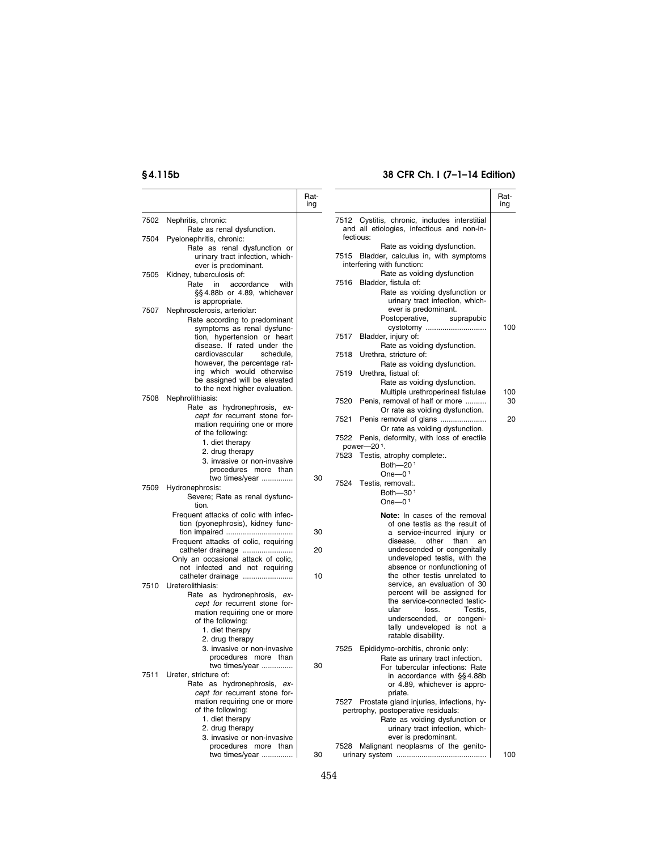# **§ 4.115b 38 CFR Ch. I (7–1–14 Edition)**

|              |                                                                                                                                                  | Rat-<br>ing |                                                                                                                                                                                      | Rat-<br>ing |
|--------------|--------------------------------------------------------------------------------------------------------------------------------------------------|-------------|--------------------------------------------------------------------------------------------------------------------------------------------------------------------------------------|-------------|
| 7502<br>7504 | Nephritis, chronic:<br>Rate as renal dysfunction.<br>Pyelonephritis, chronic:<br>Rate as renal dysfunction or<br>urinary tract infection, which- |             | 7512 Cystitis, chronic, includes interstitial<br>and all etiologies, infectious and non-in-<br>fectious:<br>Rate as voiding dysfunction.<br>7515 Bladder, calculus in, with symptoms |             |
| 7505         | ever is predominant.<br>Kidney, tuberculosis of:<br>Rate<br>in<br>accordance<br>with<br>§§4.88b or 4.89, whichever                               |             | interfering with function:<br>Rate as voiding dysfunction<br>Bladder, fistula of:<br>7516<br>Rate as voiding dysfunction or                                                          |             |
| 7507         | is appropriate.<br>Nephrosclerosis, arteriolar:<br>Rate according to predominant                                                                 |             | urinary tract infection, which-<br>ever is predominant.<br>Postoperative,<br>suprapubic                                                                                              |             |
|              | symptoms as renal dysfunc-<br>tion, hypertension or heart<br>disease. If rated under the                                                         |             | cystotomy<br>Bladder, injury of:<br>7517<br>Rate as voiding dysfunction.                                                                                                             | 100         |
|              | cardiovascular<br>schedule,<br>however, the percentage rat-<br>ing which would otherwise                                                         |             | Urethra, stricture of:<br>7518<br>Rate as voiding dysfunction.<br>Urethra, fistual of:<br>7519                                                                                       |             |
| 7508         | be assigned will be elevated<br>to the next higher evaluation.<br>Nephrolithiasis:                                                               |             | Rate as voiding dysfunction.<br>Multiple urethroperineal fistulae<br>Penis, removal of half or more<br>7520                                                                          | 100<br>30   |
|              | Rate as hydronephrosis, ex-<br>cept for recurrent stone for-                                                                                     |             | Or rate as voiding dysfunction.<br>7521<br>Penis removal of glans                                                                                                                    | 20          |
|              | mation requiring one or more<br>of the following:<br>1. diet therapy                                                                             |             | Or rate as voiding dysfunction.<br>7522 Penis, deformity, with loss of erectile<br>power-201.                                                                                        |             |
|              | 2. drug therapy<br>3. invasive or non-invasive<br>procedures more than                                                                           |             | 7523 Testis, atrophy complete:.<br>Both-201                                                                                                                                          |             |
| 7509         | two times/year<br>Hydronephrosis:<br>Severe; Rate as renal dysfunc-                                                                              | 30          | One- $01$<br>7524 Testis, removal:.<br>Both-30 <sup>1</sup>                                                                                                                          |             |
|              | tion.<br>Frequent attacks of colic with infec-                                                                                                   |             | One $-01$<br>Note: In cases of the removal                                                                                                                                           |             |
|              | tion (pyonephrosis), kidney func-<br>Frequent attacks of colic, requiring                                                                        | 30          | of one testis as the result of<br>a service-incurred injury or<br>other<br>than<br>disease,<br>an                                                                                    |             |
|              | catheter drainage<br>Only an occasional attack of colic,<br>not infected and not requiring                                                       | 20          | undescended or congenitally<br>undeveloped testis, with the<br>absence or nonfunctioning of                                                                                          |             |
|              | catheter drainage<br>7510 Ureterolithiasis:<br>Rate as hydronephrosis, ex-                                                                       | 10          | the other testis unrelated to<br>service, an evaluation of 30<br>percent will be assigned for                                                                                        |             |
|              | cept for recurrent stone for-<br>mation requiring one or more<br>of the following:<br>1. diet therapy<br>2. drug therapy                         |             | the service-connected testic-<br>ular<br>loss.<br>Testis,<br>underscended, or congeni-<br>tally undeveloped is not a<br>ratable disability.                                          |             |
|              | 3. invasive or non-invasive<br>procedures more than<br>two times/year                                                                            | 30          | 7525<br>Epididymo-orchitis, chronic only:<br>Rate as urinary tract infection.<br>For tubercular infections: Rate                                                                     |             |
|              | 7511 Ureter, stricture of:<br>Rate as hydronephrosis, ex-<br>cept for recurrent stone for-                                                       |             | in accordance with §§4.88b<br>or 4.89, whichever is appro-<br>priate.                                                                                                                |             |
|              | mation requiring one or more<br>of the following:<br>1. diet therapy<br>2. drug therapy                                                          |             | 7527 Prostate gland injuries, infections, hy-<br>pertrophy, postoperative residuals:<br>Rate as voiding dysfunction or<br>urinary tract infection, which-                            |             |
|              | 3. invasive or non-invasive<br>procedures more than<br>two times/year                                                                            | 30          | ever is predominant.<br>Malignant neoplasms of the genito-<br>7528                                                                                                                   | 100         |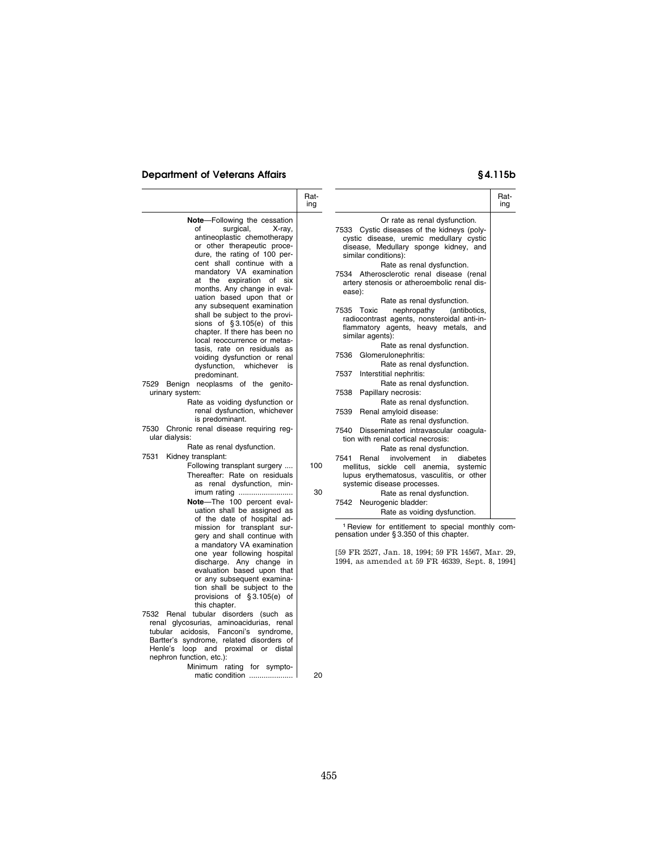### **Department of Veterans Affairs § 4.115b**

|                                                                                                                                                                                                                                                                                                                                                                                                                                                                                                                                                                                                                                                                                                                                                                                                                                                                                                                                                                                                                                                                                                                                                         | Rat-<br>ing |                                                                                                                                                                                                                                                                                                                                                                                                                                                                                                                                                                                                                                                                                                                                                                                                                                                                                                                                                                                                                                                                                                                                                                                                                                                                                                              | Rat-<br>ing |
|---------------------------------------------------------------------------------------------------------------------------------------------------------------------------------------------------------------------------------------------------------------------------------------------------------------------------------------------------------------------------------------------------------------------------------------------------------------------------------------------------------------------------------------------------------------------------------------------------------------------------------------------------------------------------------------------------------------------------------------------------------------------------------------------------------------------------------------------------------------------------------------------------------------------------------------------------------------------------------------------------------------------------------------------------------------------------------------------------------------------------------------------------------|-------------|--------------------------------------------------------------------------------------------------------------------------------------------------------------------------------------------------------------------------------------------------------------------------------------------------------------------------------------------------------------------------------------------------------------------------------------------------------------------------------------------------------------------------------------------------------------------------------------------------------------------------------------------------------------------------------------------------------------------------------------------------------------------------------------------------------------------------------------------------------------------------------------------------------------------------------------------------------------------------------------------------------------------------------------------------------------------------------------------------------------------------------------------------------------------------------------------------------------------------------------------------------------------------------------------------------------|-------------|
| <b>Note-Following the cessation</b><br>of<br>surgical,<br>X-ray,<br>antineoplastic chemotherapy<br>or other therapeutic proce-<br>dure, the rating of 100 per-<br>cent shall continue with a<br>mandatory VA examination<br>at the expiration of six<br>months. Any change in eval-<br>uation based upon that or<br>any subsequent examination<br>shall be subject to the provi-<br>sions of $§3.105(e)$ of this<br>chapter. If there has been no<br>local reoccurrence or metas-<br>tasis, rate on residuals as<br>voiding dysfunction or renal<br>dysfunction,<br>whichever is<br>predominant.<br>Benign neoplasms of the genito-<br>7529<br>urinary system:<br>Rate as voiding dysfunction or<br>renal dysfunction, whichever<br>is predominant.<br>7530 Chronic renal disease requiring reg-<br>ular dialysis:<br>Rate as renal dysfunction.<br>7531<br>Kidney transplant:<br>Following transplant surgery<br>Thereafter: Rate on residuals<br>as renal dysfunction, min-<br>imum rating<br>Note-The 100 percent eval-<br>uation shall be assigned as<br>of the date of hospital ad-<br>mission for transplant sur-<br>gery and shall continue with | 100<br>30   | Or rate as renal dysfunction.<br>7533 Cystic diseases of the kidneys (poly-<br>cystic disease, uremic medullary cystic<br>disease, Medullary sponge kidney, and<br>similar conditions):<br>Rate as renal dysfunction.<br>7534 Atherosclerotic renal disease (renal<br>artery stenosis or atheroembolic renal dis-<br>ease):<br>Rate as renal dysfunction.<br>7535 Toxic<br>nephropathy<br>(antibotics,<br>radiocontrast agents, nonsteroidal anti-in-<br>flammatory agents, heavy metals, and<br>similar agents):<br>Rate as renal dysfunction.<br>Glomerulonephritis:<br>7536<br>Rate as renal dysfunction.<br>7537<br>Interstitial nephritis:<br>Rate as renal dysfunction.<br>7538<br>Papillary necrosis:<br>Rate as renal dysfunction.<br>7539<br>Renal amyloid disease:<br>Rate as renal dysfunction.<br>7540<br>Disseminated intravascular coagula-<br>tion with renal cortical necrosis:<br>Rate as renal dysfunction.<br>7541<br>Renal<br>involvement<br>in<br>diabetes<br>mellitus, sickle cell anemia,<br>systemic<br>lupus erythematosus, vasculitis, or other<br>systemic disease processes.<br>Rate as renal dysfunction.<br>7542 Neurogenic bladder:<br>Rate as voiding dysfunction.<br><sup>1</sup> Review for entitlement to special monthly com-<br>pensation under §3.350 of this chapter. |             |
| a mandatory VA examination<br>one year following hospital<br>discharge. Any change in<br>evaluation based upon that<br>or any subsequent examina-<br>tion shall be subject to the<br>provisions of §3.105(e) of<br>this chapter.                                                                                                                                                                                                                                                                                                                                                                                                                                                                                                                                                                                                                                                                                                                                                                                                                                                                                                                        |             | [59 FR 2527, Jan. 18, 1994; 59 FR 14567, Mar. 29,<br>1994, as amended at 59 FR 46339, Sept. 8, 1994]                                                                                                                                                                                                                                                                                                                                                                                                                                                                                                                                                                                                                                                                                                                                                                                                                                                                                                                                                                                                                                                                                                                                                                                                         |             |
|                                                                                                                                                                                                                                                                                                                                                                                                                                                                                                                                                                                                                                                                                                                                                                                                                                                                                                                                                                                                                                                                                                                                                         |             |                                                                                                                                                                                                                                                                                                                                                                                                                                                                                                                                                                                                                                                                                                                                                                                                                                                                                                                                                                                                                                                                                                                                                                                                                                                                                                              |             |

7532 Renal tubular disorders (such as renal glycosurias, aminoacidurias, renal tubular acidosis, Fanconi's syndrome, Bartter's syndrome, related disorders of Henle's loop and proximal or distal nephron function, etc.):

Minimum rating for symptomatic condition ..................... 20